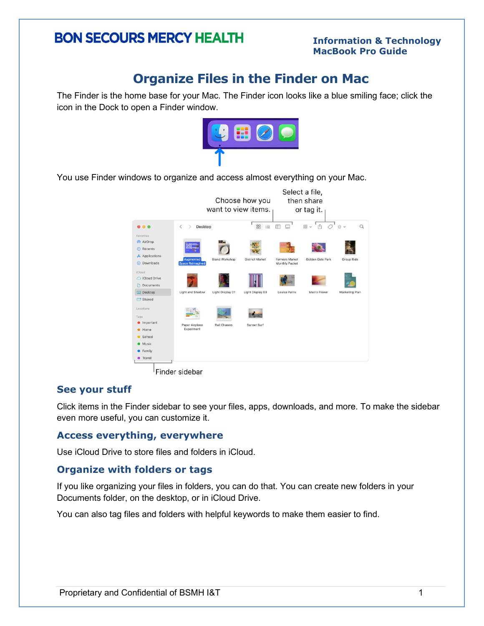# **BON SECOURS MERCY HEALTH**

#### **Information & Technology MacBook Pro Guide**

# **Organize Files in the Finder on Mac**

The Finder is the home base for your Mac. The Finder icon looks like a blue smiling face; click the icon in the Dock to open a Finder window.



You use Finder windows to organize and access almost everything on your Mac.



Finder sidebar

### **See your stuff**

Click items in the Finder sidebar to see your files, apps, downloads, and more. To make the sidebar even more useful, you can customize it.

### **Access everything, everywhere**

Use iCloud Drive to store files and folders in iCloud.

### **Organize with folders or tags**

If you like organizing your files in folders, you can do that. You can create new folders in your Documents folder, on the desktop, or in iCloud Drive.

You can also tag files and folders with helpful keywords to make them easier to find.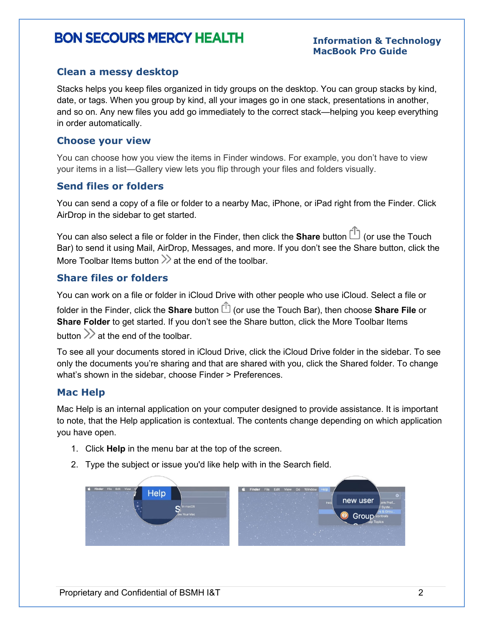# **BON SECOURS MERCY HEALTH**

#### **Information & Technology MacBook Pro Guide**

# **Clean a messy desktop**

Stacks helps you keep files organized in tidy groups on the desktop. You can [group stacks](https://support.apple.com/guide/mac-help/organize-your-desktop-with-stacks-mh35846/12.0/mac/12.0#mchl97209c0d) by kind, date, or tags. When you group by kind, all your images go in one stack, presentations in another, and so on. Any new files you add go immediately to the correct stack—helping you keep everything in order automatically.

#### **Choose your view**

You can choose how you view the items in Finder windows. For example, you don't have to view your items in a list—Gallery view lets you flip through your files and folders visually.

# **Send files or folders**

You can send a copy of a file or folder to a nearby Mac, iPhone, or iPad right from the Finder. Click AirDrop in the sidebar to get started.

You can also select a file or folder in the Finder, then click the **Share** button  $\Box$  (or use the Touch Bar) to send it using Mail, AirDrop, Messages, and more. If you don't see the Share button, click the More Toolbar Items button  $\gg$  at the end of the toolbar.

# **Share files or folders**

You can work on a file or folder in iCloud Drive with other people who use iCloud. Select a file or folder in the Finder, click the **Share** button  $\mathbb{D}$  (or use the Touch Bar), then choose **Share File** or **Share Folder** to get started. If you don't see the Share button, click the More Toolbar Items button  $\gg$  at the end of the toolbar.

To see all your documents stored in iCloud Drive, click the iCloud Drive folder in the sidebar. To see only the documents you're sharing and that are shared with you, click the Shared folder. To change what's shown in the sidebar, choose Finder > Preferences.

# **Mac Help**

Mac Help is an internal application on your computer designed to provide assistance. It is important to note, that the Help application is contextual. The contents change depending on which application you have open.

- 1. Click **Help** in the menu bar at the top of the screen.
- 2. Type the subject or issue you'd like help with in the Search field.